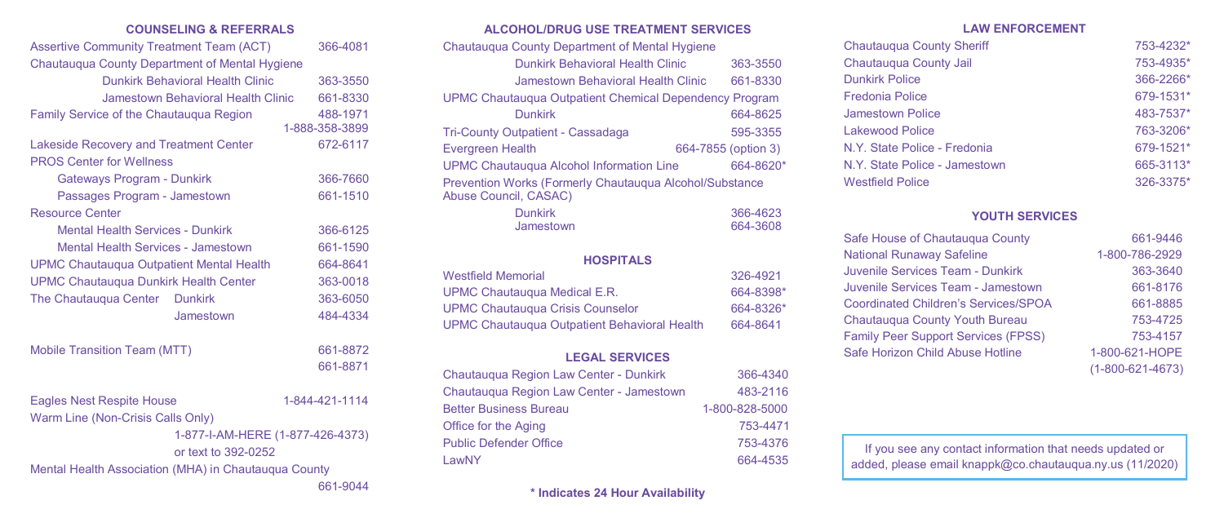### **COUNSELING & REFERRALS**

| <b>Assertive Community Treatment Team (ACT)</b> |                                                         | 366-4081 |                            |
|-------------------------------------------------|---------------------------------------------------------|----------|----------------------------|
| Chautauqua County Department of Mental Hygiene  |                                                         |          |                            |
|                                                 | Dunkirk Behavioral Health Clinic                        |          | 363-3550                   |
|                                                 | Jamestown Behavioral Health Clinic                      |          | 661-8330                   |
| Family Service of the Chautauqua Region         |                                                         |          | 488-1971<br>1-888-358-3899 |
| Lakeside Recovery and Treatment Center          |                                                         |          | 672-6117                   |
| <b>PROS Center for Wellness</b>                 |                                                         |          |                            |
| Gateways Program - Dunkirk                      |                                                         |          | 366-7660                   |
| Passages Program - Jamestown                    |                                                         |          | 661-1510                   |
| <b>Resource Center</b>                          |                                                         |          |                            |
| <b>Mental Health Services - Dunkirk</b>         |                                                         | 366-6125 |                            |
| Mental Health Services - Jamestown              |                                                         | 661-1590 |                            |
| <b>UPMC Chautauqua Outpatient Mental Health</b> |                                                         |          | 664-8641                   |
| <b>UPMC Chautauqua Dunkirk Health Center</b>    |                                                         |          | 363-0018                   |
| The Chautauqua Center                           | <b>Dunkirk</b>                                          |          | 363-6050                   |
|                                                 | Jamestown                                               |          | 484-4334                   |
| <b>Mobile Transition Team (MTT)</b>             |                                                         |          | 661-8872                   |
|                                                 |                                                         |          | 661-8871                   |
| <b>Eagles Nest Respite House</b>                |                                                         |          | 1-844-421-1114             |
| Warm Line (Non-Crisis Calls Only)               |                                                         |          |                            |
|                                                 | 1-877-I-AM-HERE (1-877-426-4373)<br>or text to 392-0252 |          |                            |
|                                                 |                                                         |          |                            |

Mental Health Association (MHA) in Chautauqua County

661-9044

|  | ALCOHOL/DRUG USE TREATMENT SERVICES |  |
|--|-------------------------------------|--|
|--|-------------------------------------|--|

| Chautaugua County Department of Mental Hygiene                                   |           |
|----------------------------------------------------------------------------------|-----------|
| Dunkirk Behavioral Health Clinic                                                 | 363-3550  |
| <b>Jamestown Behavioral Health Clinic</b>                                        | 661-8330  |
| UPMC Chautaugua Outpatient Chemical Dependency Program                           |           |
| <b>Dunkirk</b>                                                                   | 664-8625  |
| Tri-County Outpatient - Cassadaga                                                | 595-3355  |
| 664-7855 (option 3)<br><b>Evergreen Health</b>                                   |           |
| <b>UPMC Chautauqua Alcohol Information Line</b>                                  | 664-8620* |
| Prevention Works (Formerly Chautauqua Alcohol/Substance<br>Abuse Council, CASAC) |           |
| <b>Dunkirk</b>                                                                   | 366-4623  |
| Jamestown                                                                        | 664-3608  |
| <b>HOSPITALS</b>                                                                 |           |
| <b>Westfield Memorial</b>                                                        | 326-4921  |
| UPMC Chautauqua Medical E.R.                                                     | 664-8398* |
| <b>UPMC Chautauqua Crisis Counselor</b>                                          | 664-8326* |
| <b>UPMC Chautauqua Outpatient Behavioral Health</b>                              | 664-8641  |
| <b>LEGAL SERVICES</b>                                                            |           |
| Chautauqua Region Law Center - Dunkirk                                           | 366-4340  |

| Chautauqua Region Law Center - Dunkirk   | 366-4340       |
|------------------------------------------|----------------|
| Chautauqua Region Law Center - Jamestown | 483-2116       |
| <b>Better Business Bureau</b>            | 1-800-828-5000 |
| Office for the Aging                     | 753-4471       |
| <b>Public Defender Office</b>            | 753-4376       |
| LawNY                                    | 664-4535       |

#### **LAW ENFORCEMENT**

| <b>Chautauqua County Sheriff</b> | 753-4232* |
|----------------------------------|-----------|
| Chautauqua County Jail           | 753-4935* |
| <b>Dunkirk Police</b>            | 366-2266* |
| <b>Fredonia Police</b>           | 679-1531* |
| Jamestown Police                 | 483-7537* |
| <b>Lakewood Police</b>           | 763-3206* |
| N.Y. State Police - Fredonia     | 679-1521* |
| N.Y. State Police - Jamestown    | 665-3113* |
| <b>Westfield Police</b>          | 326-3375* |
|                                  |           |

# **YOUTH SERVICES**

| Safe House of Chautauqua County      | 661-9446           |
|--------------------------------------|--------------------|
| <b>National Runaway Safeline</b>     | 1-800-786-2929     |
| Juvenile Services Team - Dunkirk     | 363-3640           |
| Juvenile Services Team - Jamestown   | 661-8176           |
| Coordinated Children's Services/SPOA | 661-8885           |
| Chautauqua County Youth Bureau       | 753-4725           |
| Family Peer Support Services (FPSS)  | 753-4157           |
| Safe Horizon Child Abuse Hotline     | 1-800-621-HOPE     |
|                                      | $(1-800-621-4673)$ |

| hh 1-944h     |
|---------------|
| -800-786-2929 |
| 363-3640      |
| 661-8176      |
| 661-8885      |
| 753-4725      |
| 753-4157      |
| 800-621-HOPE  |
| 800-621-4673) |
|               |

If you see any contact information that needs updated or added, please email knappk@co.chautauqua.ny.us (11/2020)